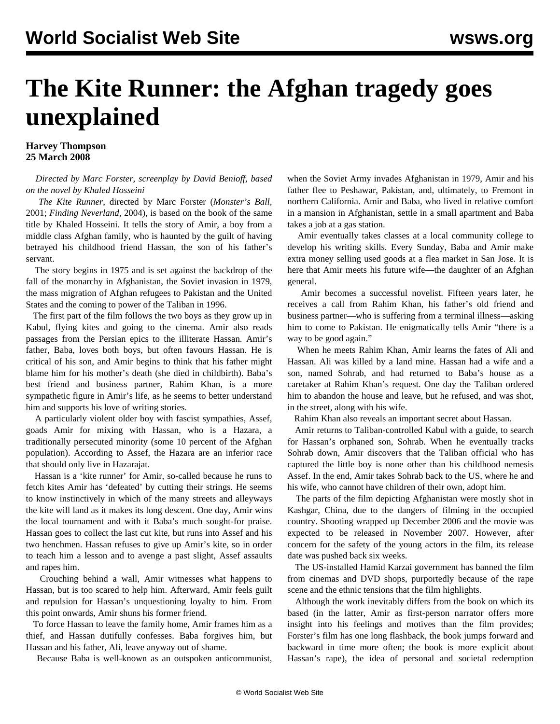## **Harvey Thompson 25 March 2008**

## *Directed by Marc Forster, screenplay by David Benioff, based on the novel by Khaled Hosseini*

 *The Kite Runner*, directed by Marc Forster (*Monster's Ball,* 2001; *Finding Neverland,* 2004), is based on the book of the same title by Khaled Hosseini. It tells the story of Amir, a boy from a middle class Afghan family, who is haunted by the guilt of having betrayed his childhood friend Hassan, the son of his father's servant.

 The story begins in 1975 and is set against the backdrop of the fall of the monarchy in Afghanistan, the Soviet invasion in 1979, the mass migration of Afghan refugees to Pakistan and the United States and the coming to power of the Taliban in 1996.

 The first part of the film follows the two boys as they grow up in Kabul, flying kites and going to the cinema. Amir also reads passages from the Persian epics to the illiterate Hassan. Amir's father, Baba, loves both boys, but often favours Hassan. He is critical of his son, and Amir begins to think that his father might blame him for his mother's death (she died in childbirth). Baba's best friend and business partner, Rahim Khan, is a more sympathetic figure in Amir's life, as he seems to better understand him and supports his love of writing stories.

 A particularly violent older boy with fascist sympathies, Assef, goads Amir for mixing with Hassan, who is a Hazara, a traditionally persecuted minority (some 10 percent of the Afghan population). According to Assef, the Hazara are an inferior race that should only live in Hazarajat.

 Hassan is a 'kite runner' for Amir, so-called because he runs to fetch kites Amir has 'defeated' by cutting their strings. He seems to know instinctively in which of the many streets and alleyways the kite will land as it makes its long descent. One day, Amir wins the local tournament and with it Baba's much sought-for praise. Hassan goes to collect the last cut kite, but runs into Assef and his two henchmen. Hassan refuses to give up Amir's kite, so in order to teach him a lesson and to avenge a past slight, Assef assaults and rapes him.

 Crouching behind a wall, Amir witnesses what happens to Hassan, but is too scared to help him. Afterward, Amir feels guilt and repulsion for Hassan's unquestioning loyalty to him. From this point onwards, Amir shuns his former friend.

 To force Hassan to leave the family home, Amir frames him as a thief, and Hassan dutifully confesses. Baba forgives him, but Hassan and his father, Ali, leave anyway out of shame.

Because Baba is well-known as an outspoken anticommunist,

when the Soviet Army invades Afghanistan in 1979, Amir and his father flee to Peshawar, Pakistan, and, ultimately, to Fremont in northern California. Amir and Baba, who lived in relative comfort in a mansion in Afghanistan, settle in a small apartment and Baba takes a job at a gas station.

 Amir eventually takes classes at a local community college to develop his writing skills. Every Sunday, Baba and Amir make extra money selling used goods at a flea market in San Jose. It is here that Amir meets his future wife—the daughter of an Afghan general.

 Amir becomes a successful novelist. Fifteen years later, he receives a call from Rahim Khan, his father's old friend and business partner—who is suffering from a terminal illness—asking him to come to Pakistan. He enigmatically tells Amir "there is a way to be good again."

 When he meets Rahim Khan, Amir learns the fates of Ali and Hassan. Ali was killed by a land mine. Hassan had a wife and a son, named Sohrab, and had returned to Baba's house as a caretaker at Rahim Khan's request. One day the Taliban ordered him to abandon the house and leave, but he refused, and was shot, in the street, along with his wife.

Rahim Khan also reveals an important secret about Hassan.

 Amir returns to Taliban-controlled Kabul with a guide, to search for Hassan's orphaned son, Sohrab. When he eventually tracks Sohrab down, Amir discovers that the Taliban official who has captured the little boy is none other than his childhood nemesis Assef. In the end, Amir takes Sohrab back to the US, where he and his wife, who cannot have children of their own, adopt him.

 The parts of the film depicting Afghanistan were mostly shot in Kashgar, China, due to the dangers of filming in the occupied country. Shooting wrapped up December 2006 and the movie was expected to be released in November 2007. However, after concern for the safety of the young actors in the film, its release date was pushed back six weeks.

 The US-installed Hamid Karzai government has banned the film from cinemas and DVD shops, purportedly because of the rape scene and the ethnic tensions that the film highlights.

 Although the work inevitably differs from the book on which its based (in the latter, Amir as first-person narrator offers more insight into his feelings and motives than the film provides; Forster's film has one long flashback, the book jumps forward and backward in time more often; the book is more explicit about Hassan's rape), the idea of personal and societal redemption